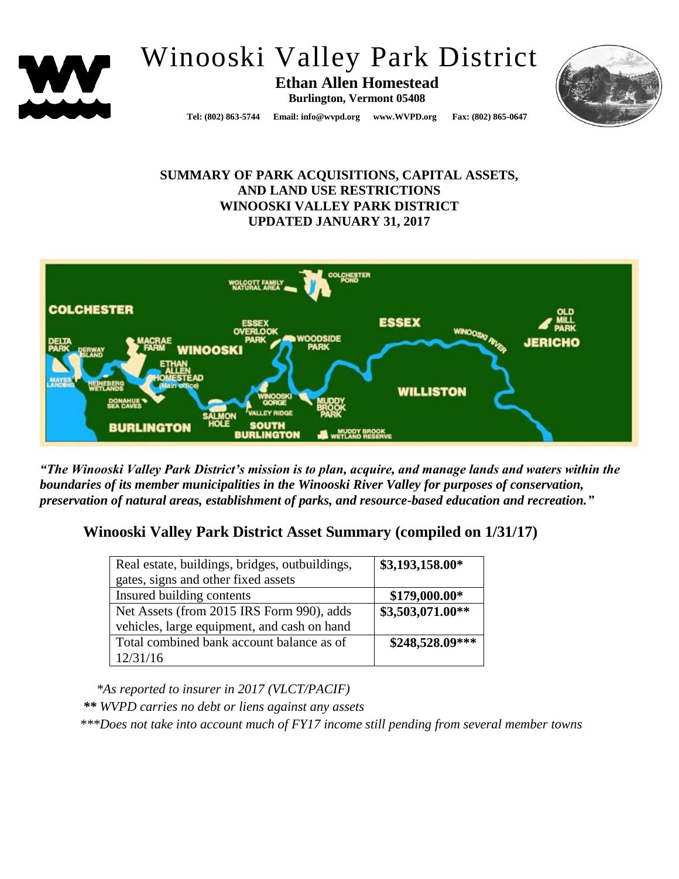

# Winooski Valley Park District

**Ethan Allen Homestead Burlington, Vermont 05408**



**Tel: (802) 863-5744 Email: info@wvpd.org [www.WVPD.org](http://www.wvpd.org/) Fax: (802) 865-0647** 

## **SUMMARY OF PARK ACQUISITIONS, CAPITAL ASSETS, AND LAND USE RESTRICTIONS WINOOSKI VALLEY PARK DISTRICT UPDATED JANUARY 31, 2017**



*"The Winooski Valley Park District's mission is to plan, acquire, and manage lands and waters within the boundaries of its member municipalities in the Winooski River Valley for purposes of conservation, preservation of natural areas, establishment of parks, and resource-based education and recreation."*

## **Winooski Valley Park District Asset Summary (compiled on 1/31/17)**

| Real estate, buildings, bridges, outbuildings, | \$3,193,158.00*  |  |  |
|------------------------------------------------|------------------|--|--|
| gates, signs and other fixed assets            |                  |  |  |
| Insured building contents                      | $$179,000.00*$   |  |  |
| Net Assets (from 2015 IRS Form 990), adds      | \$3,503,071.00** |  |  |
| vehicles, large equipment, and cash on hand    |                  |  |  |
| Total combined bank account balance as of      | \$248,528.09***  |  |  |
| 12/31/16                                       |                  |  |  |

 *\*As reported to insurer in 2017 (VLCT/PACIF) \*\* WVPD carries no debt or liens against any assets \*\*\*Does not take into account much of FY17 income still pending from several member towns*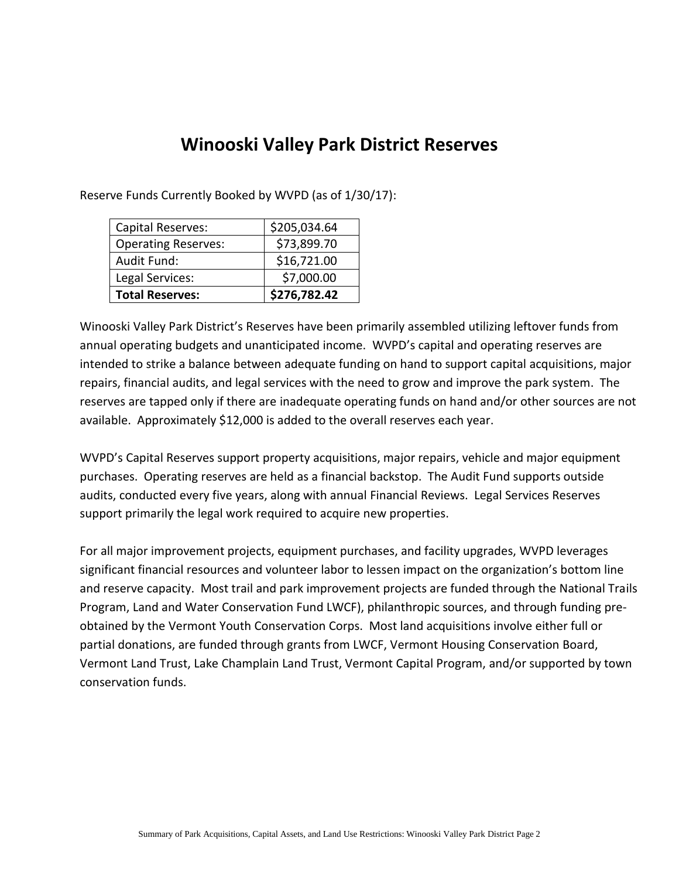## **Winooski Valley Park District Reserves**

Reserve Funds Currently Booked by WVPD (as of 1/30/17):

| Capital Reserves:          | \$205,034.64 |
|----------------------------|--------------|
| <b>Operating Reserves:</b> | \$73,899.70  |
| Audit Fund:                | \$16,721.00  |
| Legal Services:            | \$7,000.00   |
| <b>Total Reserves:</b>     | \$276,782.42 |

Winooski Valley Park District's Reserves have been primarily assembled utilizing leftover funds from annual operating budgets and unanticipated income. WVPD's capital and operating reserves are intended to strike a balance between adequate funding on hand to support capital acquisitions, major repairs, financial audits, and legal services with the need to grow and improve the park system. The reserves are tapped only if there are inadequate operating funds on hand and/or other sources are not available. Approximately \$12,000 is added to the overall reserves each year.

WVPD's Capital Reserves support property acquisitions, major repairs, vehicle and major equipment purchases. Operating reserves are held as a financial backstop. The Audit Fund supports outside audits, conducted every five years, along with annual Financial Reviews. Legal Services Reserves support primarily the legal work required to acquire new properties.

For all major improvement projects, equipment purchases, and facility upgrades, WVPD leverages significant financial resources and volunteer labor to lessen impact on the organization's bottom line and reserve capacity. Most trail and park improvement projects are funded through the National Trails Program, Land and Water Conservation Fund LWCF), philanthropic sources, and through funding preobtained by the Vermont Youth Conservation Corps. Most land acquisitions involve either full or partial donations, are funded through grants from LWCF, Vermont Housing Conservation Board, Vermont Land Trust, Lake Champlain Land Trust, Vermont Capital Program, and/or supported by town conservation funds.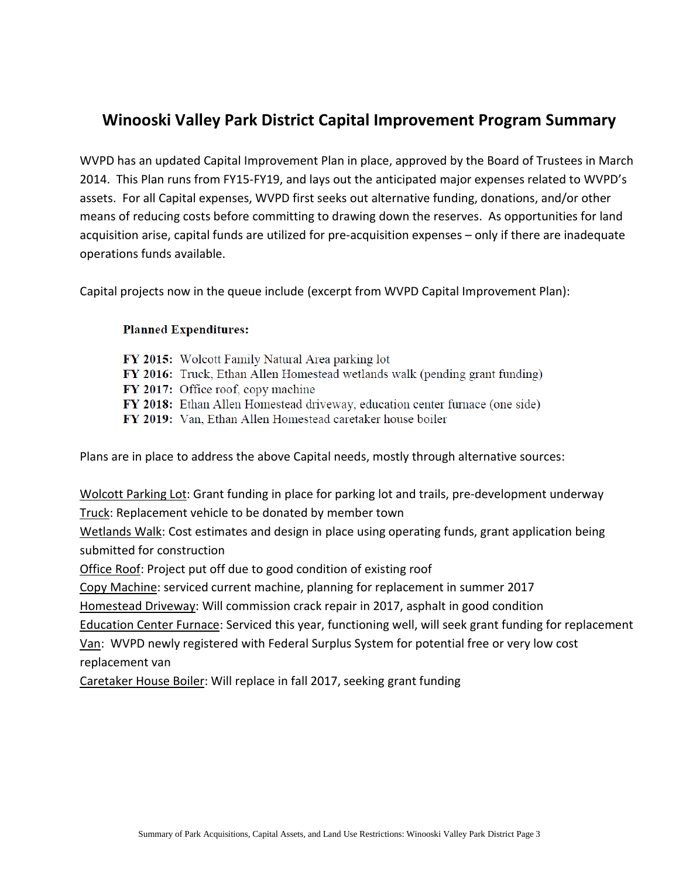## **Winooski Valley Park District Capital Improvement Program Summary**

WVPD has an updated Capital Improvement Plan in place, approved by the Board of Trustees in March 2014. This Plan runs from FY15-FY19, and lays out the anticipated major expenses related to WVPD's assets. For all Capital expenses, WVPD first seeks out alternative funding, donations, and/or other means of reducing costs before committing to drawing down the reserves. As opportunities for land acquisition arise, capital funds are utilized for pre-acquisition expenses – only if there are inadequate operations funds available.

Capital projects now in the queue include (excerpt from WVPD Capital Improvement Plan):

### **Planned Expenditures:**

FY 2015: Wolcott Family Natural Area parking lot **FY 2016:** Truck, Ethan Allen Homestead wetlands walk (pending grant funding) FY 2017: Office roof, copy machine FY 2018: Ethan Allen Homestead driveway, education center furnace (one side) FY 2019: Van, Ethan Allen Homestead caretaker house boiler

Plans are in place to address the above Capital needs, mostly through alternative sources:

Wolcott Parking Lot: Grant funding in place for parking lot and trails, pre-development underway Truck: Replacement vehicle to be donated by member town

Wetlands Walk: Cost estimates and design in place using operating funds, grant application being submitted for construction

Office Roof: Project put off due to good condition of existing roof

Copy Machine: serviced current machine, planning for replacement in summer 2017

Homestead Driveway: Will commission crack repair in 2017, asphalt in good condition

Education Center Furnace: Serviced this year, functioning well, will seek grant funding for replacement Van: WVPD newly registered with Federal Surplus System for potential free or very low cost

replacement van

Caretaker House Boiler: Will replace in fall 2017, seeking grant funding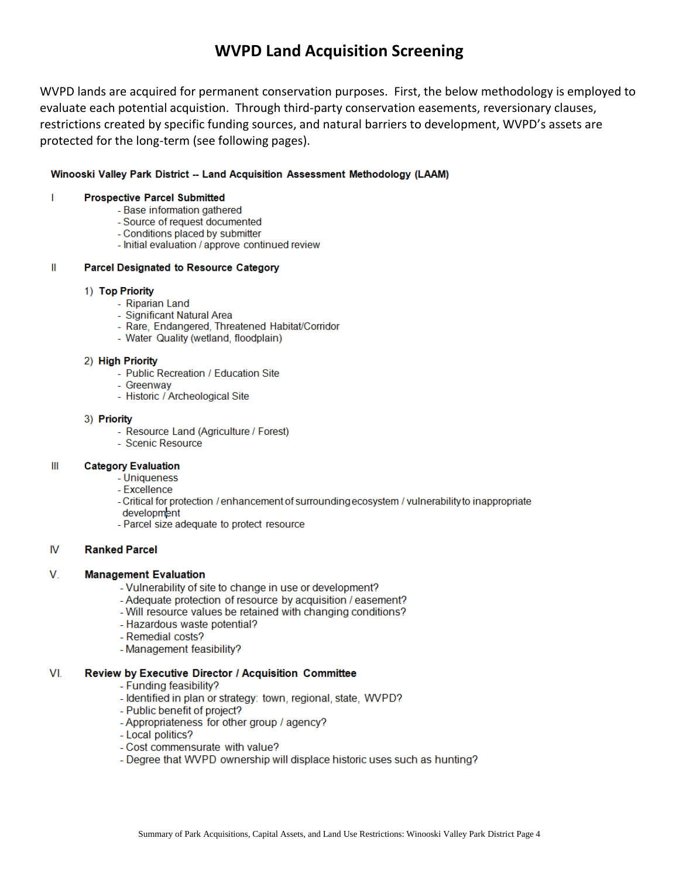## **WVPD Land Acquisition Screening**

WVPD lands are acquired for permanent conservation purposes. First, the below methodology is employed to evaluate each potential acquistion. Through third-party conservation easements, reversionary clauses, restrictions created by specific funding sources, and natural barriers to development, WVPD's assets are protected for the long-term (see following pages).

### Winooski Valley Park District -- Land Acquisition Assessment Methodology (LAAM)

#### $\mathbf{I}$ **Prospective Parcel Submitted**

- Base information gathered
- Source of request documented
- Conditions placed by submitter
- Initial evaluation / approve continued review

#### $\mathbf{II}$ **Parcel Designated to Resource Category**

### 1) Top Priority

- Riparian Land
- Significant Natural Area
- Rare, Endangered, Threatened Habitat/Corridor
- Water Quality (wetland, floodplain)

### 2) High Priority

- Public Recreation / Education Site
- Greenway
- Historic / Archeological Site

### 3) Priority

- Resource Land (Agriculture / Forest)
- Scenic Resource

#### $III$ **Category Evaluation**

- Uniqueness
- Excellence
- Critical for protection / enhancement of surrounding ecosystem / vulnerability to inappropriate development
- Parcel size adequate to protect resource

#### IV. **Ranked Parcel**

#### V. **Management Evaluation**

- Vulnerability of site to change in use or development?
- Adequate protection of resource by acquisition / easement?
- Will resource values be retained with changing conditions?
- Hazardous waste potential?
- Remedial costs?
- Management feasibility?

#### VI. Review by Executive Director / Acquisition Committee

- Funding feasibility?
- Identified in plan or strategy: town, regional, state, WVPD?
- Public benefit of project?
- Appropriateness for other group / agency?
- Local politics?
- Cost commensurate with value?
- Degree that WVPD ownership will displace historic uses such as hunting?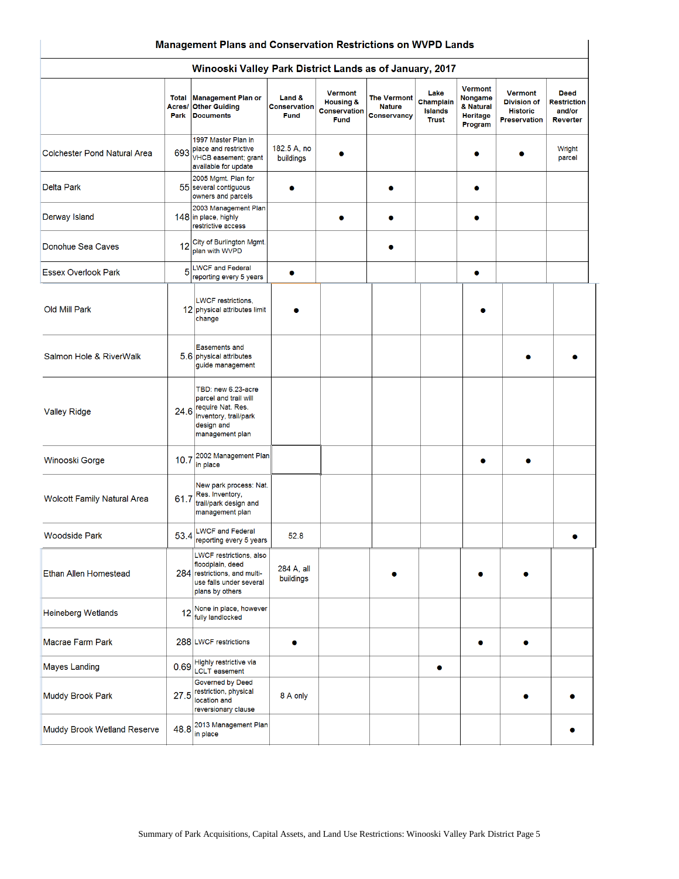#### Winooski Valley Park District Lands as of January, 2017

|                                     | <b>Total</b><br>Acres/<br>Park | <b>Management Plan or</b><br><b>Other Guiding</b><br><b>Documents</b>                                                      | Land &<br><b>Conservation</b><br><b>Fund</b> | <b>Vermont</b><br><b>Housing &amp;</b><br><b>Conservation</b><br><b>Fund</b> | <b>The Vermont</b><br><b>Nature</b><br>Conservancy | Lake<br>Champlain<br><b>Islands</b><br><b>Trust</b> | <b>Vermont</b><br>Nongame<br>& Natural<br><b>Heritage</b><br>Program | <b>Vermont</b><br><b>Division of</b><br><b>Historic</b><br><b>Preservation</b> | <b>Deed</b><br><b>Restriction</b><br>and/or<br>Reverter |
|-------------------------------------|--------------------------------|----------------------------------------------------------------------------------------------------------------------------|----------------------------------------------|------------------------------------------------------------------------------|----------------------------------------------------|-----------------------------------------------------|----------------------------------------------------------------------|--------------------------------------------------------------------------------|---------------------------------------------------------|
| <b>Colchester Pond Natural Area</b> | 693                            | 1997 Master Plan in<br>place and restrictive<br>VHCB easement; grant<br>available for update                               | 182.5 A, no<br>buildings                     |                                                                              |                                                    |                                                     |                                                                      |                                                                                | Wright<br>parcel                                        |
| <b>Delta Park</b>                   |                                | 2005 Mgmt. Plan for<br>55 several contiguous<br>owners and parcels                                                         |                                              |                                                                              |                                                    |                                                     |                                                                      |                                                                                |                                                         |
| Derway Island                       |                                | 2003 Management Plan<br>148 in place, highly<br>restrictive access                                                         |                                              |                                                                              |                                                    |                                                     |                                                                      |                                                                                |                                                         |
| Donohue Sea Caves                   |                                | 12 City of Burlington Mgmt.<br>plan with WVPD                                                                              |                                              |                                                                              |                                                    |                                                     |                                                                      |                                                                                |                                                         |
| <b>Essex Overlook Park</b>          | 5                              | <b>LWCF and Federal</b><br>reporting every 5 years                                                                         | ۰                                            |                                                                              |                                                    |                                                     | ٠                                                                    |                                                                                |                                                         |
| Old Mill Park                       |                                | <b>LWCF</b> restrictions,<br>12 physical attributes limit<br>change                                                        |                                              |                                                                              |                                                    |                                                     |                                                                      |                                                                                |                                                         |
| Salmon Hole & RiverWalk             |                                | <b>Easements and</b><br>5.6 physical attributes<br>guide management                                                        |                                              |                                                                              |                                                    |                                                     |                                                                      |                                                                                |                                                         |
| <b>Valley Ridge</b>                 | 24.6                           | TBD: new 6.23-acre<br>parcel and trail will<br>require Nat. Res.<br>Inventory, trail/park<br>design and<br>management plan |                                              |                                                                              |                                                    |                                                     |                                                                      |                                                                                |                                                         |
| Winooski Gorge                      |                                | 10.7 2002 Management Plan<br>in place                                                                                      |                                              |                                                                              |                                                    |                                                     |                                                                      |                                                                                |                                                         |
| <b>Wolcott Family Natural Area</b>  | 61.7                           | New park process: Nat.<br>Res. Inventory,<br>trail/park design and<br>management plan                                      |                                              |                                                                              |                                                    |                                                     |                                                                      |                                                                                |                                                         |
| <b>Woodside Park</b>                | 53.4                           | <b>LWCF and Federal</b><br>reporting every 5 years                                                                         | 52.8                                         |                                                                              |                                                    |                                                     |                                                                      |                                                                                |                                                         |
| Ethan Allen Homestead               |                                | LWCF restrictions, also<br>floodplain, deed<br>284 restrictions, and multi-<br>use falls under several<br>plans by others  | 284 A, all<br>buildings                      |                                                                              |                                                    |                                                     |                                                                      |                                                                                |                                                         |
| <b>Heineberg Wetlands</b>           | 12                             | None in place, however<br>fully landlocked                                                                                 |                                              |                                                                              |                                                    |                                                     |                                                                      |                                                                                |                                                         |
| Macrae Farm Park                    |                                | 288 LWCF restrictions                                                                                                      | Ω                                            |                                                                              |                                                    |                                                     | ۰                                                                    | ۰                                                                              |                                                         |
| <b>Mayes Landing</b>                | 0.69                           | Highly restrictive via<br><b>LCLT</b> easement                                                                             |                                              |                                                                              |                                                    | ۰                                                   |                                                                      |                                                                                |                                                         |
| <b>Muddy Brook Park</b>             | 27.5                           | Governed by Deed<br>restriction, physical<br>location and<br>reversionary clause                                           | 8 A only                                     |                                                                              |                                                    |                                                     |                                                                      |                                                                                |                                                         |
| Muddy Brook Wetland Reserve         | 48.8                           | 2013 Management Plan<br>in place                                                                                           |                                              |                                                                              |                                                    |                                                     |                                                                      |                                                                                |                                                         |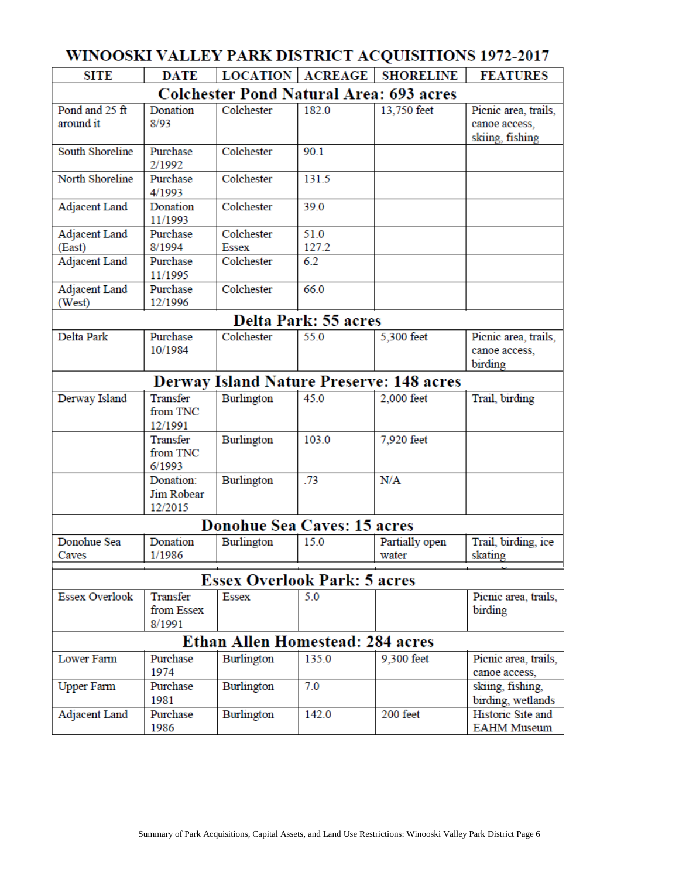| <b>DATE</b><br>Donation                   | <b>LOCATION   ACREAGE</b>                      |       | <b>SHORELINE</b>        | <b>FEATURES</b>                                                                                                                                                                          |  |  |  |  |  |
|-------------------------------------------|------------------------------------------------|-------|-------------------------|------------------------------------------------------------------------------------------------------------------------------------------------------------------------------------------|--|--|--|--|--|
|                                           |                                                |       |                         |                                                                                                                                                                                          |  |  |  |  |  |
|                                           | <b>Colchester Pond Natural Area: 693 acres</b> |       |                         |                                                                                                                                                                                          |  |  |  |  |  |
| 8/93                                      | Colchester                                     | 182.0 | 13,750 feet             | Picnic area, trails,<br>canoe access,<br>skiing, fishing                                                                                                                                 |  |  |  |  |  |
| Purchase<br>2/1992                        | Colchester                                     | 90.1  |                         |                                                                                                                                                                                          |  |  |  |  |  |
| Purchase<br>4/1993                        | Colchester                                     | 131.5 |                         |                                                                                                                                                                                          |  |  |  |  |  |
| Donation<br>11/1993                       | Colchester                                     | 39.0  |                         |                                                                                                                                                                                          |  |  |  |  |  |
| Purchase                                  | Colchester                                     | 51.0  |                         |                                                                                                                                                                                          |  |  |  |  |  |
| 8/1994                                    | <b>Essex</b>                                   |       |                         |                                                                                                                                                                                          |  |  |  |  |  |
| Purchase<br>11/1995                       | Colchester                                     | 6.2   |                         |                                                                                                                                                                                          |  |  |  |  |  |
| Purchase<br>12/1996                       | Colchester                                     | 66.0  |                         |                                                                                                                                                                                          |  |  |  |  |  |
|                                           |                                                |       |                         |                                                                                                                                                                                          |  |  |  |  |  |
| Purchase<br>10/1984                       | Colchester                                     | 55.0  | 5,300 feet              | Picnic area, trails,<br>canoe access,<br>birding                                                                                                                                         |  |  |  |  |  |
|                                           |                                                |       |                         |                                                                                                                                                                                          |  |  |  |  |  |
| Transfer<br>from TNC                      | Burlington                                     | 45.0  | 2,000 feet              | Trail, birding                                                                                                                                                                           |  |  |  |  |  |
| Transfer<br>from TNC<br>6/1993            | Burlington                                     | 103.0 | 7,920 feet              |                                                                                                                                                                                          |  |  |  |  |  |
| Donation:<br><b>Jim Robear</b><br>12/2015 | Burlington                                     | .73   | N/A                     |                                                                                                                                                                                          |  |  |  |  |  |
|                                           |                                                |       |                         |                                                                                                                                                                                          |  |  |  |  |  |
| Donation<br>1/1986                        | Burlington                                     | 15.0  | Partially open<br>water | Trail, birding, ice<br>skating                                                                                                                                                           |  |  |  |  |  |
|                                           |                                                |       |                         |                                                                                                                                                                                          |  |  |  |  |  |
| Transfer<br>from Essex<br>8/1991          | <b>Essex</b>                                   | 5.0   |                         | Picnic area, trails,<br>birding                                                                                                                                                          |  |  |  |  |  |
|                                           |                                                |       |                         |                                                                                                                                                                                          |  |  |  |  |  |
| Purchase<br>1974                          | Burlington                                     | 135.0 | 9,300 feet              | Picnic area, trails,<br>canoe access.                                                                                                                                                    |  |  |  |  |  |
| Purchase<br>1981                          | Burlington                                     | 7.0   |                         | skiing, fishing,<br>birding, wetlands                                                                                                                                                    |  |  |  |  |  |
| Purchase<br>1986                          | Burlington                                     | 142.0 | 200 feet                | Historic Site and<br><b>EAHM Museum</b>                                                                                                                                                  |  |  |  |  |  |
|                                           | 12/1991                                        |       | 127.2                   | Delta Park: 55 acres<br><b>Derway Island Nature Preserve: 148 acres</b><br><b>Donohue Sea Caves: 15 acres</b><br><b>Essex Overlook Park: 5 acres</b><br>Ethan Allen Homestead: 284 acres |  |  |  |  |  |

## WINOOSKI VALLEV PARK DISTRICT ACOUSTILONS 1972-2017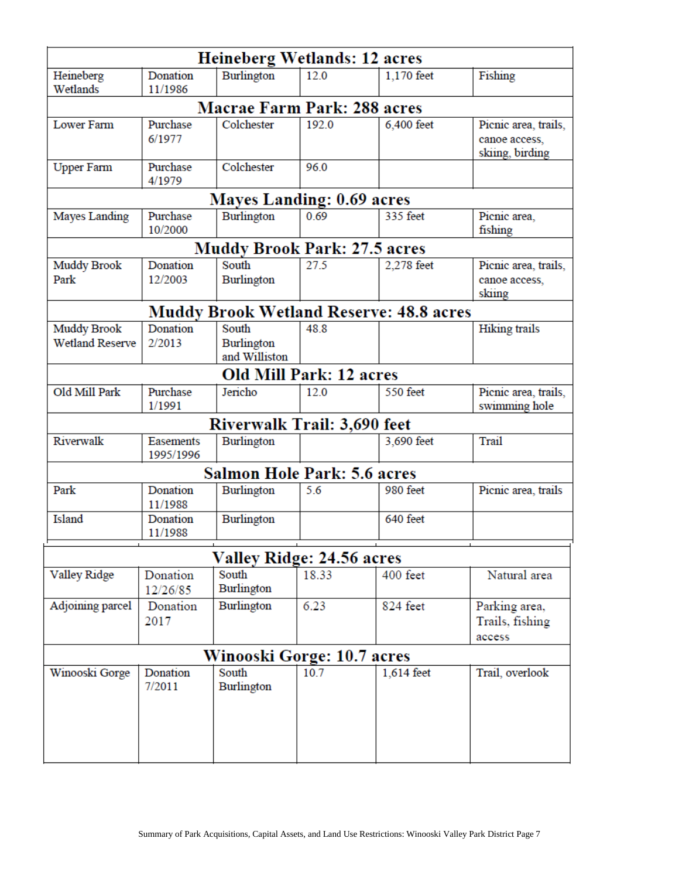| Heineberg Wetlands: 12 acres       |                                                                             |                                     |       |                 |                                  |  |  |  |  |
|------------------------------------|-----------------------------------------------------------------------------|-------------------------------------|-------|-----------------|----------------------------------|--|--|--|--|
| Heineberg<br>Wetlands              | Donation<br>11/1986                                                         | Burlington                          | 12.0  | 1,170 feet      | Fishing                          |  |  |  |  |
| <b>Macrae Farm Park: 288 acres</b> |                                                                             |                                     |       |                 |                                  |  |  |  |  |
| <b>Lower Farm</b>                  | Purchase                                                                    | Colchester                          | 192.0 | 6,400 feet      | Picnic area, trails,             |  |  |  |  |
|                                    | 6/1977                                                                      |                                     |       |                 | canoe access,<br>skiing, birding |  |  |  |  |
| <b>Upper Farm</b>                  | Purchase<br>4/1979                                                          | Colchester                          | 96.0  |                 |                                  |  |  |  |  |
|                                    |                                                                             | Mayes Landing: 0.69 acres           |       |                 |                                  |  |  |  |  |
| Mayes Landing                      | Purchase<br>10/2000                                                         | Burlington                          | 0.69  | 335 feet        | Picnic area,<br>fishing          |  |  |  |  |
|                                    |                                                                             | <b>Muddy Brook Park: 27.5 acres</b> |       |                 |                                  |  |  |  |  |
| Muddy Brook                        | Donation                                                                    | South                               | 27.5  | 2,278 feet      | Picnic area, trails,             |  |  |  |  |
| Park                               | 12/2003                                                                     | Burlington                          |       |                 | canoe access,                    |  |  |  |  |
|                                    |                                                                             |                                     |       |                 | skiing                           |  |  |  |  |
| Muddy Brook                        | <b>Muddy Brook Wetland Reserve: 48.8 acres</b><br>Donation<br>South<br>48.8 |                                     |       |                 |                                  |  |  |  |  |
| <b>Wetland Reserve</b>             | 2/2013                                                                      | <b>Burlington</b><br>and Williston  |       |                 | Hiking trails                    |  |  |  |  |
| Old Mill Park: 12 acres            |                                                                             |                                     |       |                 |                                  |  |  |  |  |
| Old Mill Park                      | Purchase                                                                    | Jericho                             | 12.0  | <b>550 feet</b> | Picnic area, trails,             |  |  |  |  |
|                                    | 1/1991                                                                      |                                     |       |                 | swimming hole                    |  |  |  |  |
|                                    |                                                                             | Riverwalk Trail: 3,690 feet         |       |                 |                                  |  |  |  |  |
| Riverwalk                          | <b>Easements</b><br>1995/1996                                               | Burlington                          |       | 3,690 feet      | Trail                            |  |  |  |  |
|                                    |                                                                             | <b>Salmon Hole Park: 5.6 acres</b>  |       |                 |                                  |  |  |  |  |
| Park                               | Donation<br>11/1988                                                         | Burlington                          | 5.6   | 980 feet        | Picnic area, trails              |  |  |  |  |
| Island                             | Donation<br>11/1988                                                         | Burlington                          |       | 640 feet        |                                  |  |  |  |  |
| Valley Ridge: 24.56 acres          |                                                                             |                                     |       |                 |                                  |  |  |  |  |
| <b>Valley Ridge</b>                | Donation                                                                    | South                               | 18.33 | 400 feet        | Natural area                     |  |  |  |  |
|                                    | 12/26/85                                                                    | Burlington                          |       |                 |                                  |  |  |  |  |
| Adjoining parcel                   | Donation                                                                    | Burlington                          | 6.23  | 824 feet        | Parking area,                    |  |  |  |  |
|                                    | 2017                                                                        |                                     |       |                 | Trails, fishing                  |  |  |  |  |
|                                    |                                                                             |                                     |       |                 | access                           |  |  |  |  |
| Winooski Gorge: 10.7 acres         |                                                                             |                                     |       |                 |                                  |  |  |  |  |
| Winooski Gorge                     | Donation<br>7/2011                                                          | South<br>Burlington                 | 10.7  | 1,614 feet      | Trail, overlook                  |  |  |  |  |
|                                    |                                                                             |                                     |       |                 |                                  |  |  |  |  |
|                                    |                                                                             |                                     |       |                 |                                  |  |  |  |  |